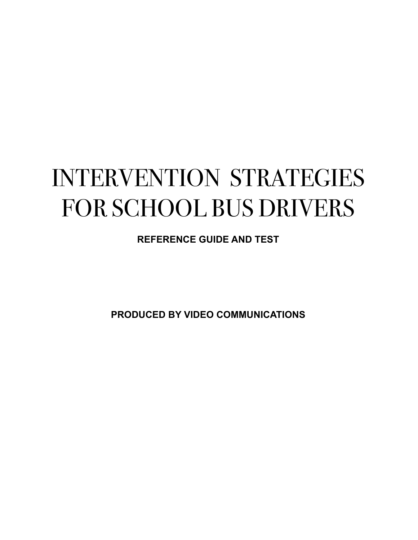# INTERVENTION STRATEGIES FOR SCHOOL BUS DRIVERS

**REFERENCE GUIDE AND TEST**

**PRODUCED BY VIDEO COMMUNICATIONS**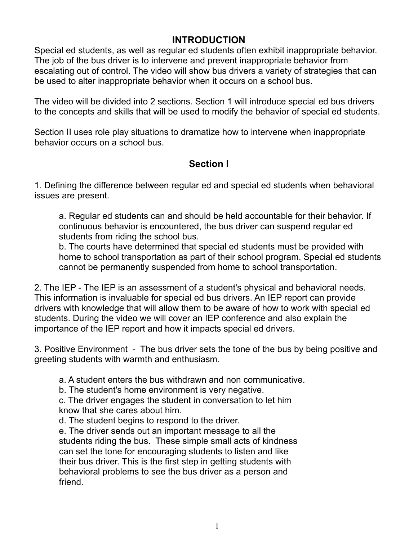#### **INTRODUCTION**

Special ed students, as well as regular ed students often exhibit inappropriate behavior. The job of the bus driver is to intervene and prevent inappropriate behavior from escalating out of control. The video will show bus drivers a variety of strategies that can be used to alter inappropriate behavior when it occurs on a school bus.

The video will be divided into 2 sections. Section 1 will introduce special ed bus drivers to the concepts and skills that will be used to modify the behavior of special ed students.

Section II uses role play situations to dramatize how to intervene when inappropriate behavior occurs on a school bus.

### **Section I**

1. Defining the difference between regular ed and special ed students when behavioral issues are present.

a. Regular ed students can and should be held accountable for their behavior. If continuous behavior is encountered, the bus driver can suspend regular ed students from riding the school bus.

b. The courts have determined that special ed students must be provided with home to school transportation as part of their school program. Special ed students cannot be permanently suspended from home to school transportation.

2. The IEP - The IEP is an assessment of a student's physical and behavioral needs. This information is invaluable for special ed bus drivers. An IEP report can provide drivers with knowledge that will allow them to be aware of how to work with special ed students. During the video we will cover an IEP conference and also explain the importance of the IEP report and how it impacts special ed drivers.

3. Positive Environment - The bus driver sets the tone of the bus by being positive and greeting students with warmth and enthusiasm.

a. A student enters the bus withdrawn and non communicative.

b. The student's home environment is very negative.

c. The driver engages the student in conversation to let him know that she cares about him.

d. The student begins to respond to the driver.

e. The driver sends out an important message to all the students riding the bus. These simple small acts of kindness can set the tone for encouraging students to listen and like their bus driver. This is the first step in getting students with behavioral problems to see the bus driver as a person and friend.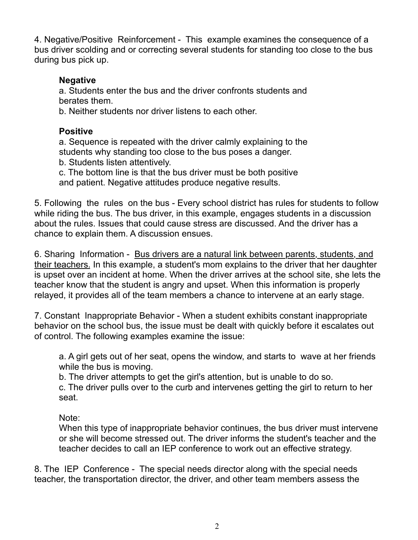4. Negative/Positive Reinforcement - This example examines the consequence of a bus driver scolding and or correcting several students for standing too close to the bus during bus pick up.

#### **Negative**

a. Students enter the bus and the driver confronts students and berates them.

b. Neither students nor driver listens to each other.

#### **Positive**

a. Sequence is repeated with the driver calmly explaining to the students why standing too close to the bus poses a danger.

b. Students listen attentively.

c. The bottom line is that the bus driver must be both positive and patient. Negative attitudes produce negative results.

5. Following the rules on the bus - Every school district has rules for students to follow while riding the bus. The bus driver, in this example, engages students in a discussion about the rules. Issues that could cause stress are discussed. And the driver has a chance to explain them. A discussion ensues.

6. Sharing Information - Bus drivers are a natural link between parents, students, and their teachers. In this example, a student's mom explains to the driver that her daughter is upset over an incident at home. When the driver arrives at the school site, she lets the teacher know that the student is angry and upset. When this information is properly relayed, it provides all of the team members a chance to intervene at an early stage.

7. Constant Inappropriate Behavior - When a student exhibits constant inappropriate behavior on the school bus, the issue must be dealt with quickly before it escalates out of control. The following examples examine the issue:

a. A girl gets out of her seat, opens the window, and starts to wave at her friends while the bus is moving.

b. The driver attempts to get the girl's attention, but is unable to do so.

c. The driver pulls over to the curb and intervenes getting the girl to return to her seat.

Note:

When this type of inappropriate behavior continues, the bus driver must intervene or she will become stressed out. The driver informs the student's teacher and the teacher decides to call an IEP conference to work out an effective strategy.

8. The IEP Conference - The special needs director along with the special needs teacher, the transportation director, the driver, and other team members assess the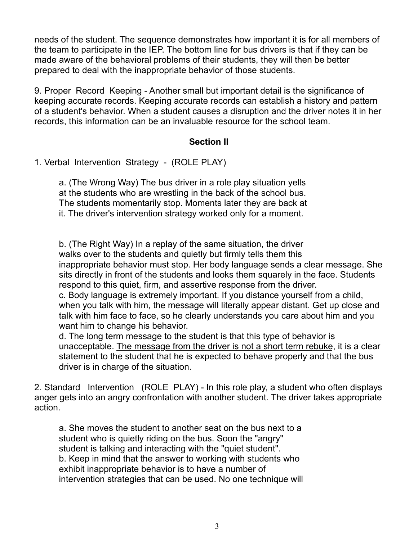needs of the student. The sequence demonstrates how important it is for all members of the team to participate in the IEP. The bottom line for bus drivers is that if they can be made aware of the behavioral problems of their students, they will then be better prepared to deal with the inappropriate behavior of those students.

9. Proper Record Keeping - Another small but important detail is the significance of keeping accurate records. Keeping accurate records can establish a history and pattern of a student's behavior. When a student causes a disruption and the driver notes it in her records, this information can be an invaluable resource for the school team.

#### **Section II**

1. Verbal Intervention Strategy - (ROLE PLAY)

a. (The Wrong Way) The bus driver in a role play situation yells at the students who are wrestling in the back of the school bus. The students momentarily stop. Moments later they are back at it. The driver's intervention strategy worked only for a moment.

b. (The Right Way) In a replay of the same situation, the driver walks over to the students and quietly but firmly tells them this inappropriate behavior must stop. Her body language sends a clear message. She sits directly in front of the students and looks them squarely in the face. Students respond to this quiet, firm, and assertive response from the driver. c. Body language is extremely important. If you distance yourself from a child, when you talk with him, the message will literally appear distant. Get up close and talk with him face to face, so he clearly understands you care about him and you

want him to change his behavior. d. The long term message to the student is that this type of behavior is unacceptable. The message from the driver is not a short term rebuke, it is a clear

statement to the student that he is expected to behave properly and that the bus driver is in charge of the situation.

2. Standard Intervention (ROLE PLAY) - In this role play, a student who often displays anger gets into an angry confrontation with another student. The driver takes appropriate action.

a. She moves the student to another seat on the bus next to a student who is quietly riding on the bus. Soon the "angry" student is talking and interacting with the "quiet student". b. Keep in mind that the answer to working with students who exhibit inappropriate behavior is to have a number of intervention strategies that can be used. No one technique will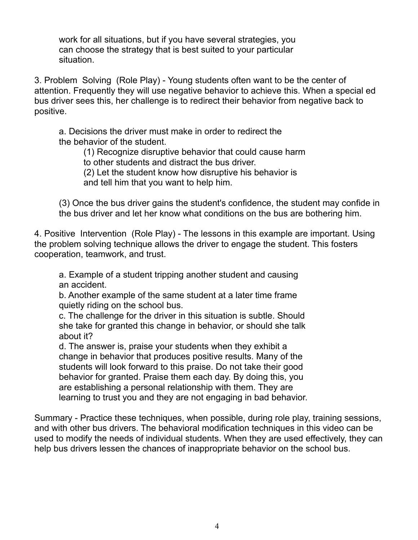work for all situations, but if you have several strategies, you can choose the strategy that is best suited to your particular situation.

3. Problem Solving (Role Play) - Young students often want to be the center of attention. Frequently they will use negative behavior to achieve this. When a special ed bus driver sees this, her challenge is to redirect their behavior from negative back to positive.

a. Decisions the driver must make in order to redirect the the behavior of the student.

> (1) Recognize disruptive behavior that could cause harm to other students and distract the bus driver.

(2) Let the student know how disruptive his behavior is and tell him that you want to help him.

(3) Once the bus driver gains the student's confidence, the student may confide in the bus driver and let her know what conditions on the bus are bothering him.

4. Positive Intervention (Role Play) - The lessons in this example are important. Using the problem solving technique allows the driver to engage the student. This fosters cooperation, teamwork, and trust.

a. Example of a student tripping another student and causing an accident.

b. Another example of the same student at a later time frame quietly riding on the school bus.

c. The challenge for the driver in this situation is subtle. Should she take for granted this change in behavior, or should she talk about it?

d. The answer is, praise your students when they exhibit a change in behavior that produces positive results. Many of the students will look forward to this praise. Do not take their good behavior for granted. Praise them each day. By doing this, you are establishing a personal relationship with them. They are learning to trust you and they are not engaging in bad behavior.

Summary - Practice these techniques, when possible, during role play, training sessions, and with other bus drivers. The behavioral modification techniques in this video can be used to modify the needs of individual students. When they are used effectively, they can help bus drivers lessen the chances of inappropriate behavior on the school bus.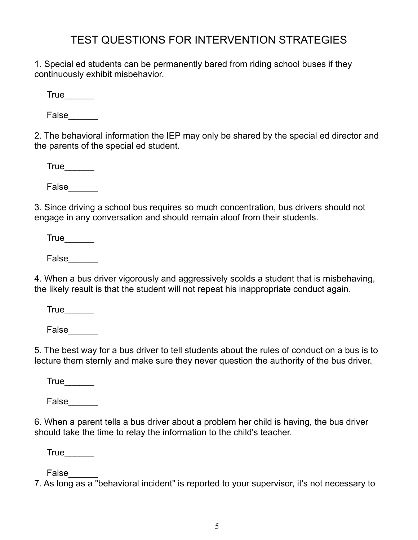## TEST QUESTIONS FOR INTERVENTION STRATEGIES

1. Special ed students can be permanently bared from riding school buses if they continuously exhibit misbehavior.

True\_\_\_\_\_\_

False\_\_\_\_\_\_

2. The behavioral information the IEP may only be shared by the special ed director and the parents of the special ed student.

 $True$ 

False\_\_\_\_\_\_

3. Since driving a school bus requires so much concentration, bus drivers should not engage in any conversation and should remain aloof from their students.

True

False\_\_\_\_\_\_

4. When a bus driver vigorously and aggressively scolds a student that is misbehaving, the likely result is that the student will not repeat his inappropriate conduct again.

 $True$ 

False\_\_\_\_\_\_

5. The best way for a bus driver to tell students about the rules of conduct on a bus is to lecture them sternly and make sure they never question the authority of the bus driver.

 $True$ 

False\_\_\_\_\_\_

6. When a parent tells a bus driver about a problem her child is having, the bus driver should take the time to relay the information to the child's teacher.

 $True$ 

False\_\_\_\_\_\_

7. As long as a "behavioral incident" is reported to your supervisor, it's not necessary to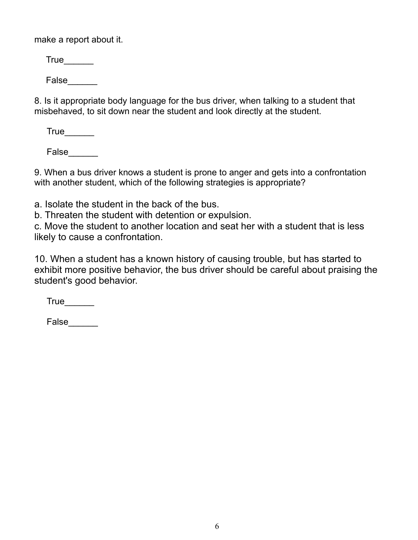make a report about it.

 $True$ 

False

8. Is it appropriate body language for the bus driver, when talking to a student that misbehaved, to sit down near the student and look directly at the student.

True

False\_\_\_\_\_\_

9. When a bus driver knows a student is prone to anger and gets into a confrontation with another student, which of the following strategies is appropriate?

a. Isolate the student in the back of the bus.

b. Threaten the student with detention or expulsion.

c. Move the student to another location and seat her with a student that is less likely to cause a confrontation.

10. When a student has a known history of causing trouble, but has started to exhibit more positive behavior, the bus driver should be careful about praising the student's good behavior.

True

False\_\_\_\_\_\_